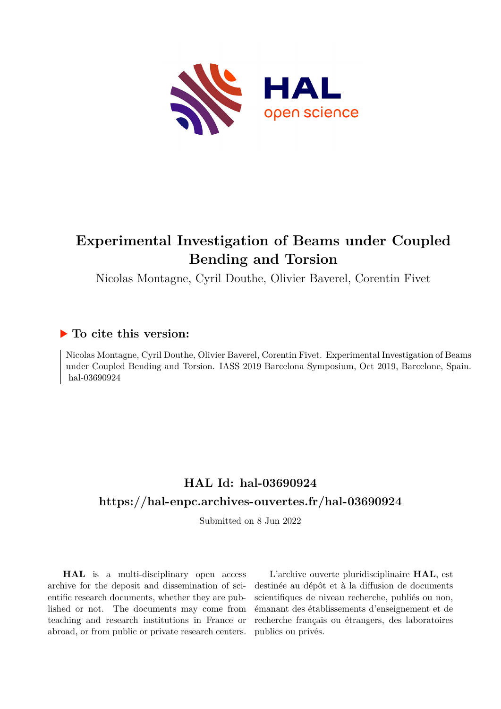

# **Experimental Investigation of Beams under Coupled Bending and Torsion**

Nicolas Montagne, Cyril Douthe, Olivier Baverel, Corentin Fivet

## **To cite this version:**

Nicolas Montagne, Cyril Douthe, Olivier Baverel, Corentin Fivet. Experimental Investigation of Beams under Coupled Bending and Torsion. IASS 2019 Barcelona Symposium, Oct 2019, Barcelone, Spain. hal-03690924

## **HAL Id: hal-03690924 <https://hal-enpc.archives-ouvertes.fr/hal-03690924>**

Submitted on 8 Jun 2022

**HAL** is a multi-disciplinary open access archive for the deposit and dissemination of scientific research documents, whether they are published or not. The documents may come from teaching and research institutions in France or abroad, or from public or private research centers.

L'archive ouverte pluridisciplinaire **HAL**, est destinée au dépôt et à la diffusion de documents scientifiques de niveau recherche, publiés ou non, émanant des établissements d'enseignement et de recherche français ou étrangers, des laboratoires publics ou privés.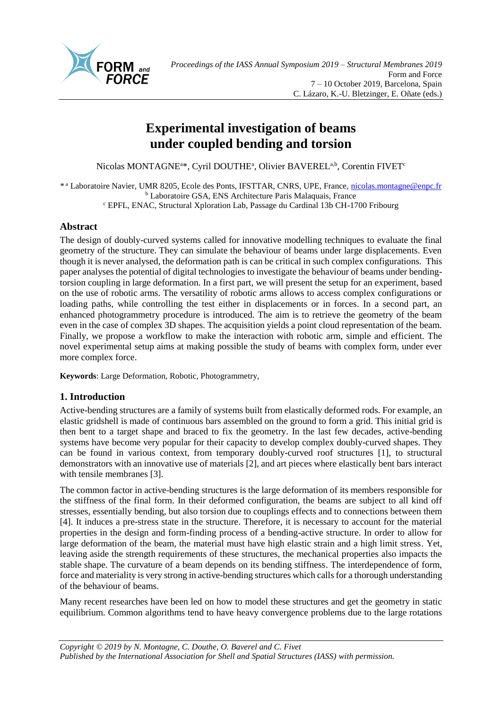

## **Experimental investigation of beams under coupled bending and torsion**

Nicolas MONTAGNE<sup>a\*</sup>, Cyril DOUTHE<sup>a</sup>, Olivier BAVEREL<sup>a,b</sup>, Corentin FIVET<sup>e</sup>

\* a Laboratoire Navier, UMR 8205, Ecole des Ponts, IFSTTAR, CNRS, UPE, France, [nicolas.montagne@enpc.fr](mailto:nicolas.montagne@enpc.fr) <sup>b</sup> Laboratoire GSA, ENS Architecture Paris Malaquais, France <sup>c</sup> EPFL, ENAC, Structural Xploration Lab, Passage du Cardinal 13b CH-1700 Fribourg

## **Abstract**

The design of doubly-curved systems called for innovative modelling techniques to evaluate the final geometry of the structure. They can simulate the behaviour of beams under large displacements. Even though it is never analysed, the deformation path is can be critical in such complex configurations. This paper analyses the potential of digital technologies to investigate the behaviour of beams under bendingtorsion coupling in large deformation. In a first part, we will present the setup for an experiment, based on the use of robotic arms. The versatility of robotic arms allows to access complex configurations or loading paths, while controlling the test either in displacements or in forces. In a second part, an enhanced photogrammetry procedure is introduced. The aim is to retrieve the geometry of the beam even in the case of complex 3D shapes. The acquisition yields a point cloud representation of the beam. Finally, we propose a workflow to make the interaction with robotic arm, simple and efficient. The novel experimental setup aims at making possible the study of beams with complex form, under ever more complex force.

**Keywords**: Large Deformation, Robotic, Photogrammetry,

## **1. Introduction**

Active-bending structures are a family of systems built from elastically deformed rods. For example, an elastic gridshell is made of continuous bars assembled on the ground to form a grid. This initial grid is then bent to a target shape and braced to fix the geometry. In the last few decades, active-bending systems have become very popular for their capacity to develop complex doubly-curved shapes. They can be found in various context, from temporary doubly-curved roof structures [\[1\],](#page-8-0) to structural demonstrators with an innovative use of materials [\[2\],](#page-8-1) and art pieces where elastically bent bars interact with tensile membranes [\[3\].](#page-8-2)

The common factor in active-bending structures is the large deformation of its members responsible for the stiffness of the final form. In their deformed configuration, the beams are subject to all kind off stresses, essentially bending, but also torsion due to couplings effects and to connections between them [\[4\].](#page-8-3) It induces a pre-stress state in the structure. Therefore, it is necessary to account for the material properties in the design and form-finding process of a bending-active structure. In order to allow for large deformation of the beam, the material must have high elastic strain and a high limit stress. Yet, leaving aside the strength requirements of these structures, the mechanical properties also impacts the stable shape. The curvature of a beam depends on its bending stiffness. The interdependence of form, force and materiality is very strong in active-bending structures which calls for a thorough understanding of the behaviour of beams.

Many recent researches have been led on how to model these structures and get the geometry in static equilibrium. Common algorithms tend to have heavy convergence problems due to the large rotations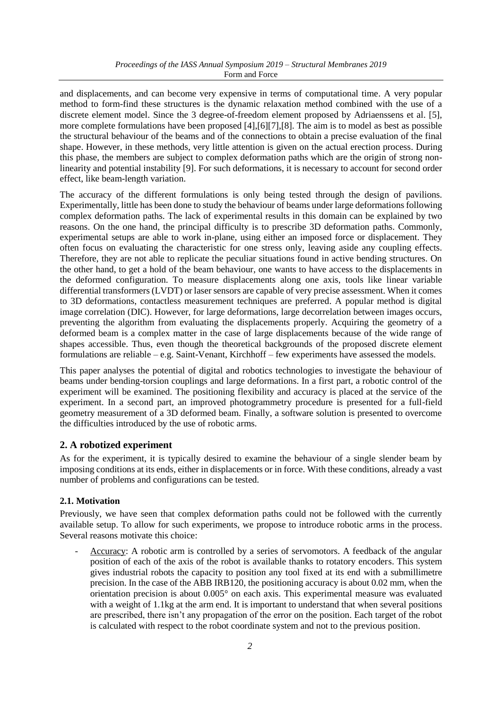and displacements, and can become very expensive in terms of computational time. A very popular method to form-find these structures is the dynamic relaxation method combined with the use of a discrete element model. Since the 3 degree-of-freedom element proposed by Adriaenssens et al. [\[5\],](#page-8-4) more complete formulations have been proposed [\[4\]](#page-8-3)[,\[6\]\[7\]](#page-8-5)[,\[8\].](#page-8-6) The aim is to model as best as possible the structural behaviour of the beams and of the connections to obtain a precise evaluation of the final shape. However, in these methods, very little attention is given on the actual erection process. During this phase, the members are subject to complex deformation paths which are the origin of strong nonlinearity and potential instability [\[9\].](#page-8-7) For such deformations, it is necessary to account for second order effect, like beam-length variation.

The accuracy of the different formulations is only being tested through the design of pavilions. Experimentally, little has been done to study the behaviour of beams under large deformations following complex deformation paths. The lack of experimental results in this domain can be explained by two reasons. On the one hand, the principal difficulty is to prescribe 3D deformation paths. Commonly, experimental setups are able to work in-plane, using either an imposed force or displacement. They often focus on evaluating the characteristic for one stress only, leaving aside any coupling effects. Therefore, they are not able to replicate the peculiar situations found in active bending structures. On the other hand, to get a hold of the beam behaviour, one wants to have access to the displacements in the deformed configuration. To measure displacements along one axis, tools like linear variable differential transformers (LVDT) or laser sensors are capable of very precise assessment. When it comes to 3D deformations, contactless measurement techniques are preferred. A popular method is digital image correlation (DIC). However, for large deformations, large decorrelation between images occurs, preventing the algorithm from evaluating the displacements properly. Acquiring the geometry of a deformed beam is a complex matter in the case of large displacements because of the wide range of shapes accessible. Thus, even though the theoretical backgrounds of the proposed discrete element formulations are reliable – e.g. Saint-Venant, Kirchhoff – few experiments have assessed the models.

This paper analyses the potential of digital and robotics technologies to investigate the behaviour of beams under bending-torsion couplings and large deformations. In a first part, a robotic control of the experiment will be examined. The positioning flexibility and accuracy is placed at the service of the experiment. In a second part, an improved photogrammetry procedure is presented for a full-field geometry measurement of a 3D deformed beam. Finally, a software solution is presented to overcome the difficulties introduced by the use of robotic arms.

## **2. A robotized experiment**

As for the experiment, it is typically desired to examine the behaviour of a single slender beam by imposing conditions at its ends, either in displacements or in force. With these conditions, already a vast number of problems and configurations can be tested.

## **2.1. Motivation**

Previously, we have seen that complex deformation paths could not be followed with the currently available setup. To allow for such experiments, we propose to introduce robotic arms in the process. Several reasons motivate this choice:

- Accuracy: A robotic arm is controlled by a series of servomotors. A feedback of the angular position of each of the axis of the robot is available thanks to rotatory encoders. This system gives industrial robots the capacity to position any tool fixed at its end with a submillimetre precision. In the case of the ABB IRB120, the positioning accuracy is about 0.02 mm, when the orientation precision is about 0.005° on each axis. This experimental measure was evaluated with a weight of 1.1kg at the arm end. It is important to understand that when several positions are prescribed, there isn't any propagation of the error on the position. Each target of the robot is calculated with respect to the robot coordinate system and not to the previous position.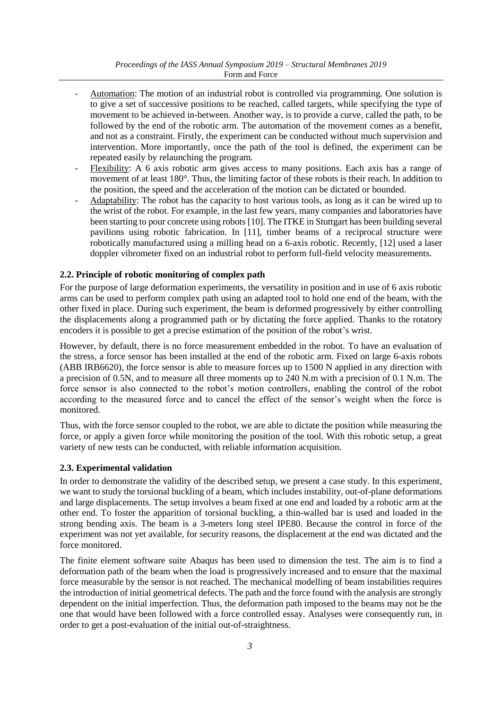*Proceedings of the IASS Annual Symposium 2019 – Structural Membranes 2019* Form and Force

- Automation: The motion of an industrial robot is controlled via programming. One solution is to give a set of successive positions to be reached, called targets, while specifying the type of movement to be achieved in-between. Another way, is to provide a curve, called the path, to be followed by the end of the robotic arm. The automation of the movement comes as a benefit, and not as a constraint. Firstly, the experiment can be conducted without much supervision and intervention. More importantly, once the path of the tool is defined, the experiment can be repeated easily by relaunching the program.
- Flexibility: A 6 axis robotic arm gives access to many positions. Each axis has a range of movement of at least 180°. Thus, the limiting factor of these robots is their reach. In addition to the position, the speed and the acceleration of the motion can be dictated or bounded.
- Adaptability: The robot has the capacity to host various tools, as long as it can be wired up to the wrist of the robot. For example, in the last few years, many companies and laboratories have been starting to pour concrete using robots [\[10\].](#page-8-8) The ITKE in Stuttgart has been building several pavilions using robotic fabrication. In [\[11\],](#page-8-9) timber beams of a reciprocal structure were robotically manufactured using a milling head on a 6-axis robotic. Recently, [\[12\]](#page-8-10) used a laser doppler vibrometer fixed on an industrial robot to perform full-field velocity measurements.

#### **2.2. Principle of robotic monitoring of complex path**

For the purpose of large deformation experiments, the versatility in position and in use of 6 axis robotic arms can be used to perform complex path using an adapted tool to hold one end of the beam, with the other fixed in place. During such experiment, the beam is deformed progressively by either controlling the displacements along a programmed path or by dictating the force applied. Thanks to the rotatory encoders it is possible to get a precise estimation of the position of the robot's wrist.

However, by default, there is no force measurement embedded in the robot. To have an evaluation of the stress, a force sensor has been installed at the end of the robotic arm. Fixed on large 6-axis robots (ABB IRB6620), the force sensor is able to measure forces up to 1500 N applied in any direction with a precision of 0.5N, and to measure all three moments up to 240 N.m with a precision of 0.1 N.m. The force sensor is also connected to the robot's motion controllers, enabling the control of the robot according to the measured force and to cancel the effect of the sensor's weight when the force is monitored.

Thus, with the force sensor coupled to the robot, we are able to dictate the position while measuring the force, or apply a given force while monitoring the position of the tool. With this robotic setup, a great variety of new tests can be conducted, with reliable information acquisition.

#### **2.3. Experimental validation**

In order to demonstrate the validity of the described setup, we present a case study. In this experiment, we want to study the torsional buckling of a beam, which includes instability, out-of-plane deformations and large displacements. The setup involves a beam fixed at one end and loaded by a robotic arm at the other end. To foster the apparition of torsional buckling, a thin-walled bar is used and loaded in the strong bending axis. The beam is a 3-meters long steel IPE80. Because the control in force of the experiment was not yet available, for security reasons, the displacement at the end was dictated and the force monitored.

The finite element software suite Abaqus has been used to dimension the test. The aim is to find a deformation path of the beam when the load is progressively increased and to ensure that the maximal force measurable by the sensor is not reached. The mechanical modelling of beam instabilities requires the introduction of initial geometrical defects. The path and the force found with the analysis are strongly dependent on the initial imperfection. Thus, the deformation path imposed to the beams may not be the one that would have been followed with a force controlled essay. Analyses were consequently run, in order to get a post-evaluation of the initial out-of-straightness.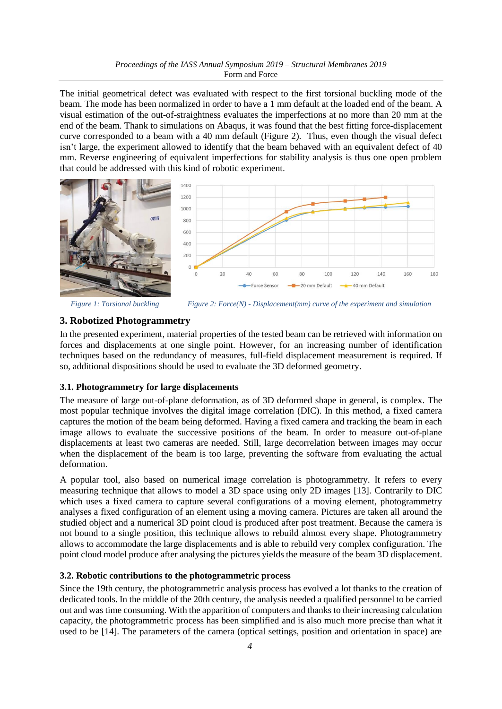The initial geometrical defect was evaluated with respect to the first torsional buckling mode of the beam. The mode has been normalized in order to have a 1 mm default at the loaded end of the beam. A visual estimation of the out-of-straightness evaluates the imperfections at no more than 20 mm at the end of the beam. Thank to simulations on Abaqus, it was found that the best fitting force-displacement curve corresponded to a beam with a 40 mm default [\(Figure 2\)](#page-4-0). Thus, even though the visual defect isn't large, the experiment allowed to identify that the beam behaved with an equivalent defect of 40 mm. Reverse engineering of equivalent imperfections for stability analysis is thus one open problem that could be addressed with this kind of robotic experiment.



*Figure 1: Torsional buckling* 

<span id="page-4-0"></span>

#### **3. Robotized Photogrammetry**

In the presented experiment, material properties of the tested beam can be retrieved with information on forces and displacements at one single point. However, for an increasing number of identification techniques based on the redundancy of measures, full-field displacement measurement is required. If so, additional dispositions should be used to evaluate the 3D deformed geometry.

#### **3.1. Photogrammetry for large displacements**

The measure of large out-of-plane deformation, as of 3D deformed shape in general, is complex. The most popular technique involves the digital image correlation (DIC). In this method, a fixed camera captures the motion of the beam being deformed. Having a fixed camera and tracking the beam in each image allows to evaluate the successive positions of the beam. In order to measure out-of-plane displacements at least two cameras are needed. Still, large decorrelation between images may occur when the displacement of the beam is too large, preventing the software from evaluating the actual deformation.

A popular tool, also based on numerical image correlation is photogrammetry. It refers to every measuring technique that allows to model a 3D space using only 2D images [\[13\].](#page-8-11) Contrarily to DIC which uses a fixed camera to capture several configurations of a moving element, photogrammetry analyses a fixed configuration of an element using a moving camera. Pictures are taken all around the studied object and a numerical 3D point cloud is produced after post treatment. Because the camera is not bound to a single position, this technique allows to rebuild almost every shape. Photogrammetry allows to accommodate the large displacements and is able to rebuild very complex configuration. The point cloud model produce after analysing the pictures yields the measure of the beam 3D displacement.

#### **3.2. Robotic contributions to the photogrammetric process**

Since the 19th century, the photogrammetric analysis process has evolved a lot thanks to the creation of dedicated tools. In the middle of the 20th century, the analysis needed a qualified personnel to be carried out and was time consuming. With the apparition of computers and thanks to their increasing calculation capacity, the photogrammetric process has been simplified and is also much more precise than what it used to be [\[14\].](#page-8-12) The parameters of the camera (optical settings, position and orientation in space) are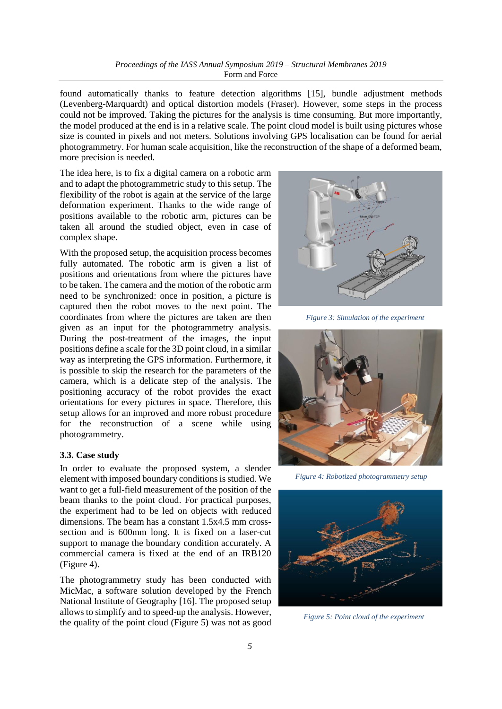found automatically thanks to feature detection algorithms [\[15\],](#page-8-13) bundle adjustment methods (Levenberg-Marquardt) and optical distortion models (Fraser). However, some steps in the process could not be improved. Taking the pictures for the analysis is time consuming. But more importantly, the model produced at the end is in a relative scale. The point cloud model is built using pictures whose size is counted in pixels and not meters. Solutions involving GPS localisation can be found for aerial photogrammetry. For human scale acquisition, like the reconstruction of the shape of a deformed beam, more precision is needed.

The idea here, is to fix a digital camera on a robotic arm and to adapt the photogrammetric study to this setup. The flexibility of the robot is again at the service of the large deformation experiment. Thanks to the wide range of positions available to the robotic arm, pictures can be taken all around the studied object, even in case of complex shape.

With the proposed setup, the acquisition process becomes fully automated. The robotic arm is given a list of positions and orientations from where the pictures have to be taken. The camera and the motion of the robotic arm need to be synchronized: once in position, a picture is captured then the robot moves to the next point. The coordinates from where the pictures are taken are then given as an input for the photogrammetry analysis. During the post-treatment of the images, the input positions define a scale for the 3D point cloud, in a similar way as interpreting the GPS information. Furthermore, it is possible to skip the research for the parameters of the camera, which is a delicate step of the analysis. The positioning accuracy of the robot provides the exact orientations for every pictures in space. Therefore, this setup allows for an improved and more robust procedure for the reconstruction of a scene while using photogrammetry.

#### **3.3. Case study**

In order to evaluate the proposed system, a slender element with imposed boundary conditions is studied. We want to get a full-field measurement of the position of the beam thanks to the point cloud. For practical purposes, the experiment had to be led on objects with reduced dimensions. The beam has a constant 1.5x4.5 mm crosssection and is 600mm long. It is fixed on a laser-cut support to manage the boundary condition accurately. A commercial camera is fixed at the end of an IRB120 [\(Figure 4\)](#page-5-0).

The photogrammetry study has been conducted with MicMac, a software solution developed by the French National Institute of Geography [\[16\].](#page-8-14) The proposed setup allows to simplify and to speed-up the analysis. However, the quality of the point cloud [\(Figure 5\)](#page-5-1) was not as good



*Figure 3: Simulation of the experiment*



*Figure 4: Robotized photogrammetry setup*

<span id="page-5-1"></span><span id="page-5-0"></span>

*Figure 5: Point cloud of the experiment*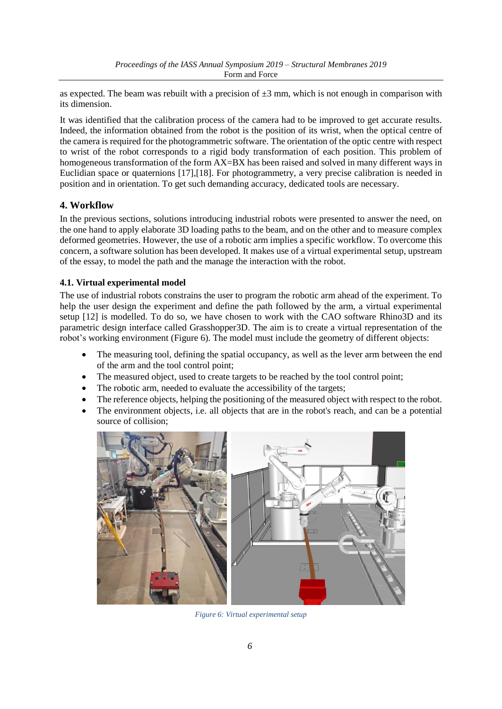as expected. The beam was rebuilt with a precision of  $\pm 3$  mm, which is not enough in comparison with its dimension.

It was identified that the calibration process of the camera had to be improved to get accurate results. Indeed, the information obtained from the robot is the position of its wrist, when the optical centre of the camera is required for the photogrammetric software. The orientation of the optic centre with respect to wrist of the robot corresponds to a rigid body transformation of each position. This problem of homogeneous transformation of the form  $AX=BX$  has been raised and solved in many different ways in Euclidian space or quaternions [\[17\]](#page-8-15)[,\[18\].](#page-8-16) For photogrammetry, a very precise calibration is needed in position and in orientation. To get such demanding accuracy, dedicated tools are necessary.

## **4. Workflow**

In the previous sections, solutions introducing industrial robots were presented to answer the need, on the one hand to apply elaborate 3D loading paths to the beam, and on the other and to measure complex deformed geometries. However, the use of a robotic arm implies a specific workflow. To overcome this concern, a software solution has been developed. It makes use of a virtual experimental setup, upstream of the essay, to model the path and the manage the interaction with the robot.

#### **4.1. Virtual experimental model**

The use of industrial robots constrains the user to program the robotic arm ahead of the experiment. To help the user design the experiment and define the path followed by the arm, a virtual experimental setup [\[12\]](#page-8-10) is modelled. To do so, we have chosen to work with the CAO software Rhino3D and its parametric design interface called Grasshopper3D. The aim is to create a virtual representation of the robot's working environment [\(Figure 6\)](#page-6-0). The model must include the geometry of different objects:

- The measuring tool, defining the spatial occupancy, as well as the lever arm between the end of the arm and the tool control point;
- The measured object, used to create targets to be reached by the tool control point;
- The robotic arm, needed to evaluate the accessibility of the targets;
- The reference objects, helping the positioning of the measured object with respect to the robot.
- The environment objects, i.e. all objects that are in the robot's reach, and can be a potential source of collision;

<span id="page-6-0"></span>

*Figure 6: Virtual experimental setup*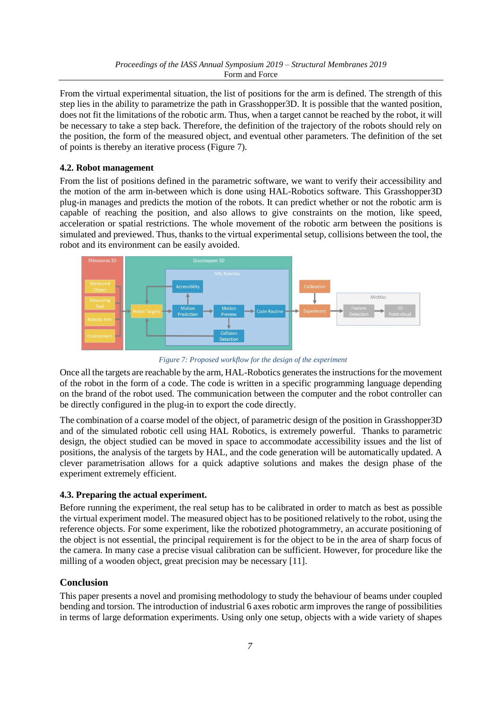From the virtual experimental situation, the list of positions for the arm is defined. The strength of this step lies in the ability to parametrize the path in Grasshopper3D. It is possible that the wanted position, does not fit the limitations of the robotic arm. Thus, when a target cannot be reached by the robot, it will be necessary to take a step back. Therefore, the definition of the trajectory of the robots should rely on the position, the form of the measured object, and eventual other parameters. The definition of the set of points is thereby an iterative process [\(Figure 7\)](#page-7-0).

#### **4.2. Robot management**

From the list of positions defined in the parametric software, we want to verify their accessibility and the motion of the arm in-between which is done using HAL-Robotics software. This Grasshopper3D plug-in manages and predicts the motion of the robots. It can predict whether or not the robotic arm is capable of reaching the position, and also allows to give constraints on the motion, like speed, acceleration or spatial restrictions. The whole movement of the robotic arm between the positions is simulated and previewed. Thus, thanks to the virtual experimental setup, collisions between the tool, the robot and its environment can be easily avoided.



*Figure 7: Proposed workflow for the design of the experiment*

<span id="page-7-0"></span>Once all the targets are reachable by the arm, HAL-Robotics generates the instructions for the movement of the robot in the form of a code. The code is written in a specific programming language depending on the brand of the robot used. The communication between the computer and the robot controller can be directly configured in the plug-in to export the code directly.

The combination of a coarse model of the object, of parametric design of the position in Grasshopper3D and of the simulated robotic cell using HAL Robotics, is extremely powerful. Thanks to parametric design, the object studied can be moved in space to accommodate accessibility issues and the list of positions, the analysis of the targets by HAL, and the code generation will be automatically updated. A clever parametrisation allows for a quick adaptive solutions and makes the design phase of the experiment extremely efficient.

## **4.3. Preparing the actual experiment.**

Before running the experiment, the real setup has to be calibrated in order to match as best as possible the virtual experiment model. The measured object has to be positioned relatively to the robot, using the reference objects. For some experiment, like the robotized photogrammetry, an accurate positioning of the object is not essential, the principal requirement is for the object to be in the area of sharp focus of the camera. In many case a precise visual calibration can be sufficient. However, for procedure like the milling of a wooden object, great precision may be necessary [\[11\].](#page-8-9)

## **Conclusion**

This paper presents a novel and promising methodology to study the behaviour of beams under coupled bending and torsion. The introduction of industrial 6 axes robotic arm improves the range of possibilities in terms of large deformation experiments. Using only one setup, objects with a wide variety of shapes